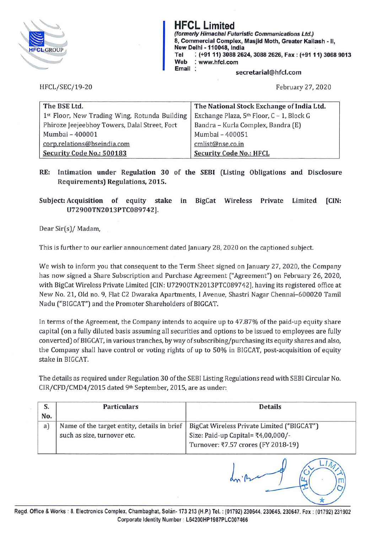

**HFCL Limited**  (formerly Himachal Futuristic Communications Ltd.) 8, Commercial Complex, Masjid Moth, Greater Kailash - II, **New Delhi -110048, India Tel** : **(+91 11) 3088 2624, 3088 2626, Fax** : **(+91 11) 3068 9013 Web** : **www.hfcl.com Email** : **secretarial@hfcl.com** 

HFCL/SEC/19-20

February 27, 2020

| The BSE Ltd.                                  | The National Stock Exchange of India Ltd.             |  |  |
|-----------------------------------------------|-------------------------------------------------------|--|--|
| 1st Floor, New Trading Wing, Rotunda Building | Exchange Plaza, 5 <sup>th</sup> Floor, C - 1, Block G |  |  |
| Phiroze Jeejeebhoy Towers, Dalal Street, Fort | Bandra - Kurla Complex, Bandra (E)                    |  |  |
| Mumbai - 400001                               | Mumbai - 400051                                       |  |  |
| corp.relations@bseindia.com                   | cmlist@nse.co.in                                      |  |  |
| Security Code No.: 500183                     | <b>Security Code No.: HFCL</b>                        |  |  |

**RE: Intimation under Regulation 30 of the SEBI (Listing Obligations and Disclosure Requirements) Regulations, 2015.** 

**Subject: Acquisition of equity stake in BigCat Wireless Private Limited (CIN: U72900TN2013PTC089742].** 

Dear Sir(s)/ Madam,

This is further to our earlier announcement dated January 28, 2020 on the captioned subject.

We wish to inform you that consequent to the Term Sheet signed on January 27, 2020, the Company has now signed a Share Subscription and Purchase Agreement ("Agreement") on February 26, 2020, with BigCat Wireless Private Limited [CIN: U72900TN2013PTC089742], having its registered office at New No. 21, Old no. 9, Flat C2 Dwaraka Apartments, I Avenue, Shastri Nagar Chennai-600020 Tamil Nadu ("BIGCAT") and the Promoter Shareholders of BIGCAT.

In terms of the Agreement, the Company intends to acquire up to 47.87% of the paid-up equity share capital ( on a fully diluted basis assuming all securities and options to be issued to employees are fully converted) of BIGCAT, in various tranches, by way of subscribing/purchasing its equity shares and also, the Company shall have control or voting rights of up to 50% in BIGCAT, post-acquisition of equity stake in BIGCAT.

The details as required under Regulation 30 of the SEBI Listing Regulations read with SEBI Circular No. CIR/CFD/CMD4/2015 dated 9th September, 2015, are as under:

| S.<br>No. | <b>Particulars</b>                                                         | <b>Details</b>                                                                                                          |  |  |
|-----------|----------------------------------------------------------------------------|-------------------------------------------------------------------------------------------------------------------------|--|--|
| a)        | Name of the target entity, details in brief<br>such as size, turnover etc. | BigCat Wireless Private Limited ("BIGCAT")<br>Size: Paid-up Capital= ₹4,00,000/-<br>Turnover: ₹7.57 crores (FY 2018-19) |  |  |

÷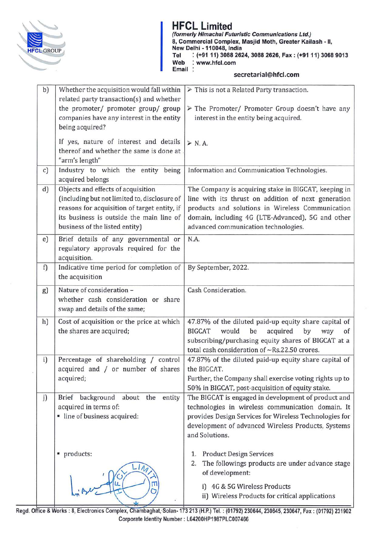

## **HFCL Limited**

**(formerly Himachal Futuristic Communications Ltd.) 8, Commercial Complex, Masjid Moth, Greater Kailash** - II, **New Delhi - 110048, India Tel : (+9111) 3088 2624, 3088 2626, Fax: (+9111) 3068 9013 Web : www.hfcl.com Email** :

## **secretarial@hfcl.com**

| b)           | Whether the acquisition would fall within<br>related party transaction(s) and whether<br>the promoter/ promoter group/ group<br>companies have any interest in the entity<br>being acquired?                     | $\geq$ This is not a Related Party transaction.<br>> The Promoter/ Promoter Group doesn't have any<br>interest in the entity being acquired.                                                                                                                 |  |  |
|--------------|------------------------------------------------------------------------------------------------------------------------------------------------------------------------------------------------------------------|--------------------------------------------------------------------------------------------------------------------------------------------------------------------------------------------------------------------------------------------------------------|--|--|
|              | If yes, nature of interest and details<br>thereof and whether the same is done at<br>"arm's length"                                                                                                              | $\geq N.A.$                                                                                                                                                                                                                                                  |  |  |
| $\mathbf{c}$ | Industry to which the entity being<br>acquired belongs                                                                                                                                                           | Information and Communication Technologies.                                                                                                                                                                                                                  |  |  |
| d)           | Objects and effects of acquisition<br>(including but not limited to, disclosure of<br>reasons for acquisition of target entity, if<br>its business is outside the main line of<br>business of the listed entity) | The Company is acquiring stake in BIGCAT, keeping in<br>line with its thrust on addition of next generation<br>products and solutions in Wireless Communication<br>domain, including 4G (LTE-Advanced), 5G and other<br>advanced communication technologies. |  |  |
| e)           | Brief details of any governmental or<br>regulatory approvals required for the<br>acquisition.                                                                                                                    | N.A.                                                                                                                                                                                                                                                         |  |  |
| f)           | Indicative time period for completion of<br>the acquisition                                                                                                                                                      | By September, 2022.                                                                                                                                                                                                                                          |  |  |
| g)           | Nature of consideration -<br>whether cash consideration or share<br>swap and details of the same;                                                                                                                | Cash Consideration.                                                                                                                                                                                                                                          |  |  |
| h)           | Cost of acquisition or the price at which<br>the shares are acquired;                                                                                                                                            | 47.87% of the diluted paid-up equity share capital of<br><b>BIGCAT</b><br>would<br>be<br>acquired<br>by<br>of<br>way<br>subscribing/purchasing equity shares of BIGCAT at a<br>total cash consideration of ~Rs.22.50 crores.                                 |  |  |
| i)           | Percentage of shareholding / control<br>acquired and / or number of shares<br>acquired;                                                                                                                          | 47.87% of the diluted paid-up equity share capital of<br>the BIGCAT.<br>Further, the Company shall exercise voting rights up to<br>50% in BIGCAT, post-acquisition of equity stake.                                                                          |  |  |
| j)           | background<br>about the<br><b>Brief</b><br>entity<br>acquired in terms of:<br>· line of business acquired:                                                                                                       | The BIGCAT is engaged in development of product and<br>technologies in wireless communication domain. It<br>provides Design Services for Wireless Technologies for<br>development of advanced Wireless Products, Systems<br>and Solutions.                   |  |  |
|              | products:                                                                                                                                                                                                        | <b>Product Design Services</b><br>1.<br>The followings products are under advance stage<br>2.<br>of development:<br>i) 4G & 5G Wireless Products<br>ii) Wireless Products for critical applications                                                          |  |  |

Regd. Office & Works: 8, Electronics Complex, Chambaghat, Solan-173 213 (H.P.) Tel.: (01792) 230644, 230645, 230647, Fax: (01792) 231902 **Corporate Identity Number: L64200HP1987PLC007466**